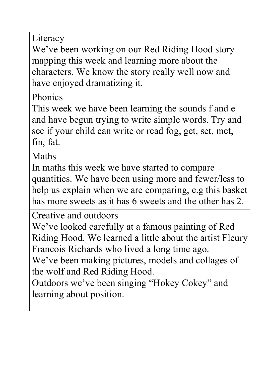Literacy

We've been working on our Red Riding Hood story mapping this week and learning more about the characters. We know the story really well now and have enjoyed dramatizing it.

Phonics

This week we have been learning the sounds f and e and have begun trying to write simple words. Try and see if your child can write or read fog, get, set, met, fin, fat.

Maths

In maths this week we have started to compare quantities. We have been using more and fewer/less to help us explain when we are comparing, e.g this basket has more sweets as it has 6 sweets and the other has 2.

Creative and outdoors

We've looked carefully at a famous painting of Red Riding Hood. We learned a little about the artist Fleury Francois Richards who lived a long time ago.

We've been making pictures, models and collages of the wolf and Red Riding Hood.

Outdoors we've been singing "Hokey Cokey" and learning about position.